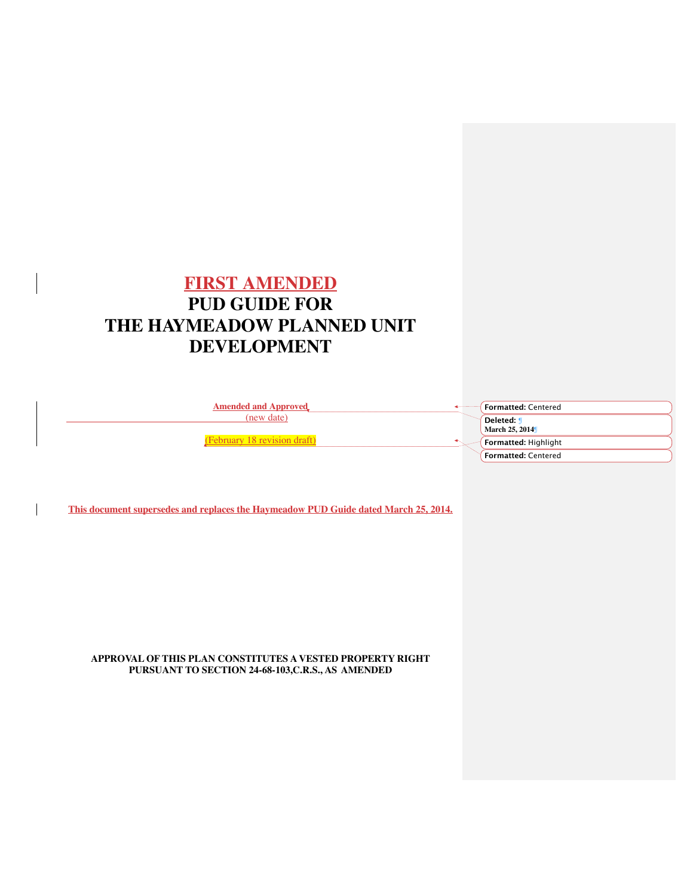# **FIRST AMENDED PUD GUIDE FOR THE HAYMEADOW PLANNED UNIT DEVELOPMENT**

**Amended and Approved** (new date)

(February 18 revision draft)

**Formatted:** Centered **Deleted: ¶ March 25, 2014**¶ **Formatted:** Highlight **Formatted:** Centered

**This document supersedes and replaces the Haymeadow PUD Guide dated March 25, 2014.**

**APPROVAL OF THIS PLAN CONSTITUTES A VESTED PROPERTY RIGHT PURSUANT TO SECTION 24-68-103,C.R.S., AS AMENDED**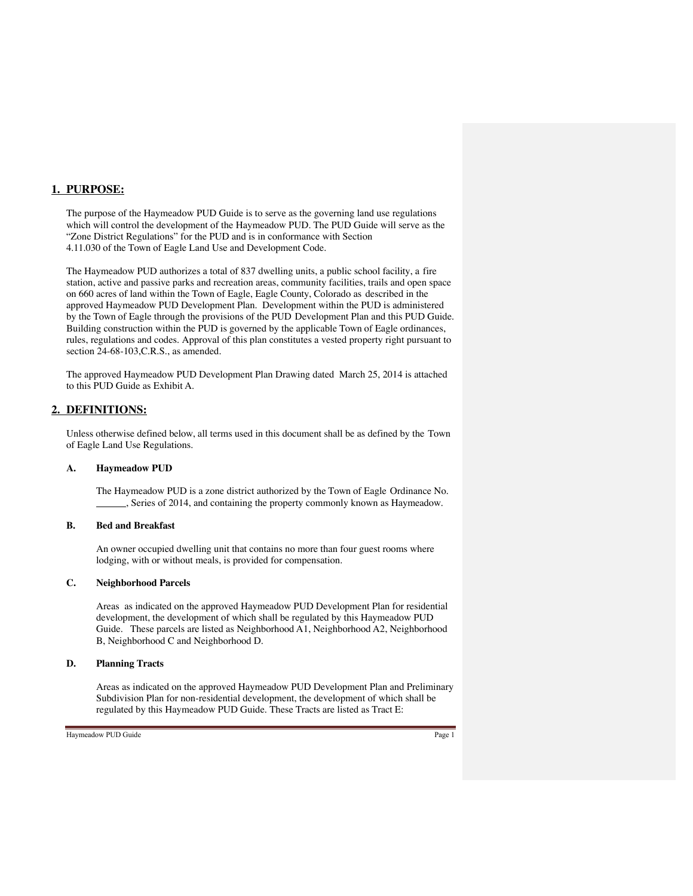## **1. PURPOSE:**

The purpose of the Haymeadow PUD Guide is to serve as the governing land use regulations which will control the development of the Haymeadow PUD. The PUD Guide will serve as the "Zone District Regulations" for the PUD and is in conformance with Section 4.11.030 of the Town of Eagle Land Use and Development Code.

The Haymeadow PUD authorizes a total of 837 dwelling units, a public school facility, a fire station, active and passive parks and recreation areas, community facilities, trails and open space on 660 acres of land within the Town of Eagle, Eagle County, Colorado as described in the approved Haymeadow PUD Development Plan. Development within the PUD is administered by the Town of Eagle through the provisions of the PUD Development Plan and this PUD Guide. Building construction within the PUD is governed by the applicable Town of Eagle ordinances, rules, regulations and codes. Approval of this plan constitutes a vested property right pursuant to section 24-68-103,C.R.S., as amended.

The approved Haymeadow PUD Development Plan Drawing dated March 25, 2014 is attached to this PUD Guide as Exhibit A.

## **2. DEFINITIONS:**

Unless otherwise defined below, all terms used in this document shall be as defined by the Town of Eagle Land Use Regulations.

#### **A. Haymeadow PUD**

The Haymeadow PUD is a zone district authorized by the Town of Eagle Ordinance No. , Series of 2014, and containing the property commonly known as Haymeadow.

#### **B. Bed and Breakfast**

An owner occupied dwelling unit that contains no more than four guest rooms where lodging, with or without meals, is provided for compensation.

#### **C. Neighborhood Parcels**

Areas as indicated on the approved Haymeadow PUD Development Plan for residential development, the development of which shall be regulated by this Haymeadow PUD Guide. These parcels are listed as Neighborhood A1, Neighborhood A2, Neighborhood B, Neighborhood C and Neighborhood D.

## **D. Planning Tracts**

Areas as indicated on the approved Haymeadow PUD Development Plan and Preliminary Subdivision Plan for non-residential development, the development of which shall be regulated by this Haymeadow PUD Guide. These Tracts are listed as Tract E: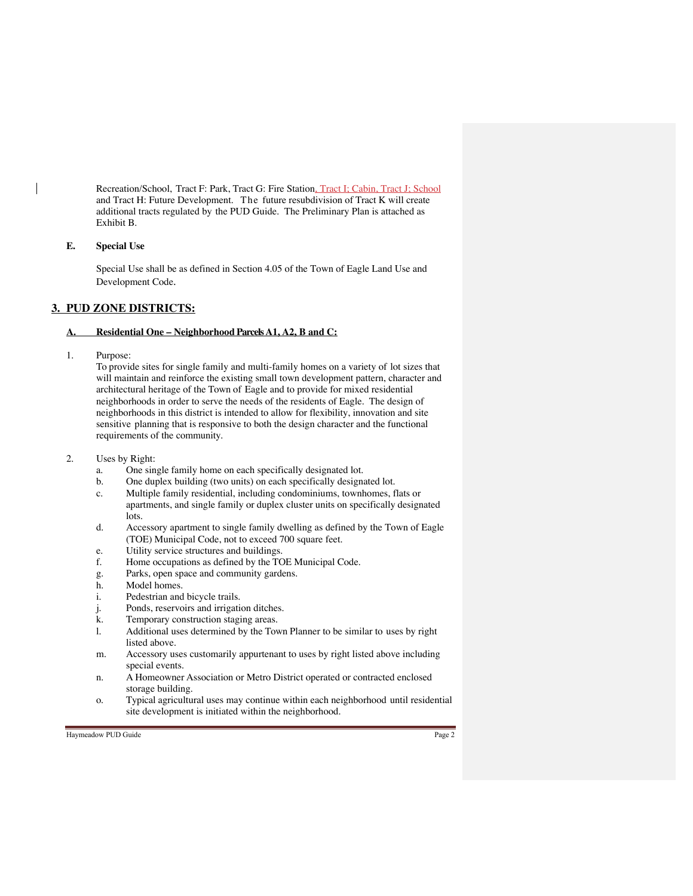Recreation/School, Tract F: Park, Tract G: Fire Station, Tract I; Cabin, Tract J; School and Tract H: Future Development. The future resubdivision of Tract K will create additional tracts regulated by the PUD Guide. The Preliminary Plan is attached as Exhibit B.

## **E. Special Use**

Special Use shall be as defined in Section 4.05 of the Town of Eagle Land Use and Development Code.

# **3. PUD ZONE DISTRICTS:**

## **A. Residential One – Neighborhood Parcels A1, A2, B and C:**

1. Purpose:

To provide sites for single family and multi-family homes on a variety of lot sizes that will maintain and reinforce the existing small town development pattern, character and architectural heritage of the Town of Eagle and to provide for mixed residential neighborhoods in order to serve the needs of the residents of Eagle. The design of neighborhoods in this district is intended to allow for flexibility, innovation and site sensitive planning that is responsive to both the design character and the functional requirements of the community.

- 2. Uses by Right:
	- a. One single family home on each specifically designated lot.
	- b. One duplex building (two units) on each specifically designated lot.
	- c. Multiple family residential, including condominiums, townhomes, flats or apartments, and single family or duplex cluster units on specifically designated lots.
	- d. Accessory apartment to single family dwelling as defined by the Town of Eagle (TOE) Municipal Code, not to exceed 700 square feet.
	- e. Utility service structures and buildings.
	- f. Home occupations as defined by the TOE Municipal Code.
	- g. Parks, open space and community gardens.
	- h. Model homes.
	- i. Pedestrian and bicycle trails.
	- j. Ponds, reservoirs and irrigation ditches.
	- k. Temporary construction staging areas.
	- l. Additional uses determined by the Town Planner to be similar to uses by right listed above.
	- m. Accessory uses customarily appurtenant to uses by right listed above including special events*.*
	- n. A Homeowner Association or Metro District operated or contracted enclosed storage building.
	- o. Typical agricultural uses may continue within each neighborhood until residential site development is initiated within the neighborhood.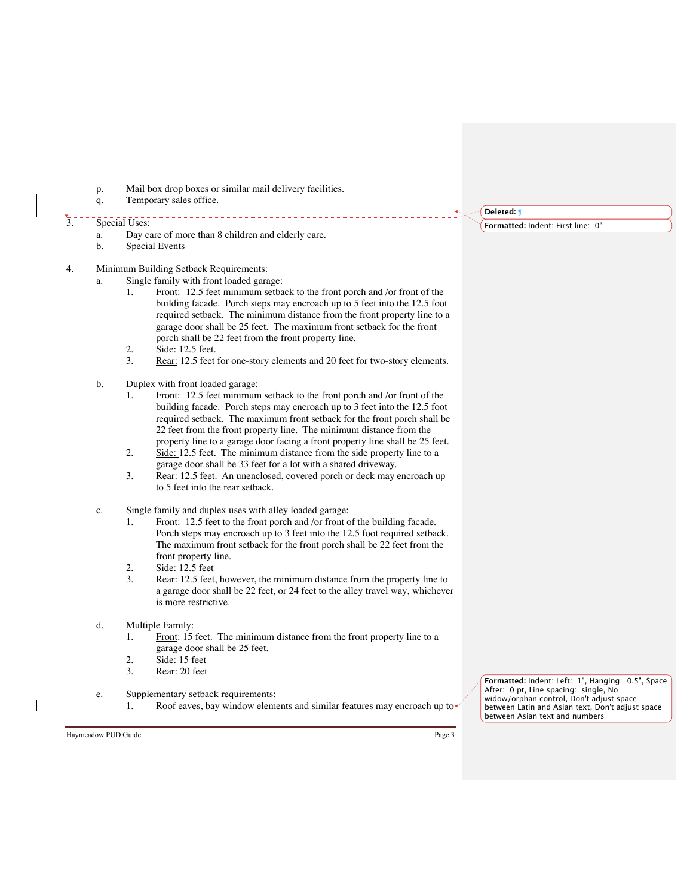- p. Mail box drop boxes or similar mail delivery facilities.
- q. Temporary sales office.

# $\overline{\hspace{1em}}$ 3. Special Uses:

- a. Day care of more than 8 children and elderly care.
- Special Events
- 4. Minimum Building Setback Requirements:
	- a. Single family with front loaded garage:
		- 1. Front: 12.5 feet minimum setback to the front porch and /or front of the building facade. Porch steps may encroach up to 5 feet into the 12.5 foot required setback. The minimum distance from the front property line to a garage door shall be 25 feet. The maximum front setback for the front porch shall be 22 feet from the front property line.
		- 2. Side: 12.5 feet.
		- 3. Rear: 12.5 feet for one-story elements and 20 feet for two-story elements.
	- b. Duplex with front loaded garage:
		- 1. Front: 12.5 feet minimum setback to the front porch and /or front of the building facade. Porch steps may encroach up to 3 feet into the 12.5 foot required setback. The maximum front setback for the front porch shall be 22 feet from the front property line. The minimum distance from the property line to a garage door facing a front property line shall be 25 feet.
		- 2. Side: 12.5 feet. The minimum distance from the side property line to a garage door shall be 33 feet for a lot with a shared driveway.
		- 3. Rear: 12.5 feet. An unenclosed, covered porch or deck may encroach up to 5 feet into the rear setback.
	- c. Single family and duplex uses with alley loaded garage:
		- 1. Front: 12.5 feet to the front porch and /or front of the building facade. Porch steps may encroach up to 3 feet into the 12.5 foot required setback. The maximum front setback for the front porch shall be 22 feet from the front property line.
		- 2. Side: 12.5 feet
		- 3. Rear: 12.5 feet, however, the minimum distance from the property line to a garage door shall be 22 feet, or 24 feet to the alley travel way, whichever is more restrictive.
	- d. Multiple Family:
		- 1. Front: 15 feet. The minimum distance from the front property line to a garage door shall be 25 feet.
		- 2.  $\frac{\text{Side}}{\text{Rear:}}$  15 feet<br>3. Rear: 20 feet
		- Rear: 20 feet
	- e. Supplementary setback requirements: 1. Roof eaves, bay window elements and similar features may encroach up to

**Formatted:** Indent: Left: 1", Hanging: 0.5", Space After: 0 pt, Line spacing: single, No widow/orphan control, Don't adjust space between Latin and Asian text, Don't adjust space between Asian text and numbers

Haymeadow PUD Guide Page 3

**Deleted:** ¶

**Formatted:** Indent: First line: 0"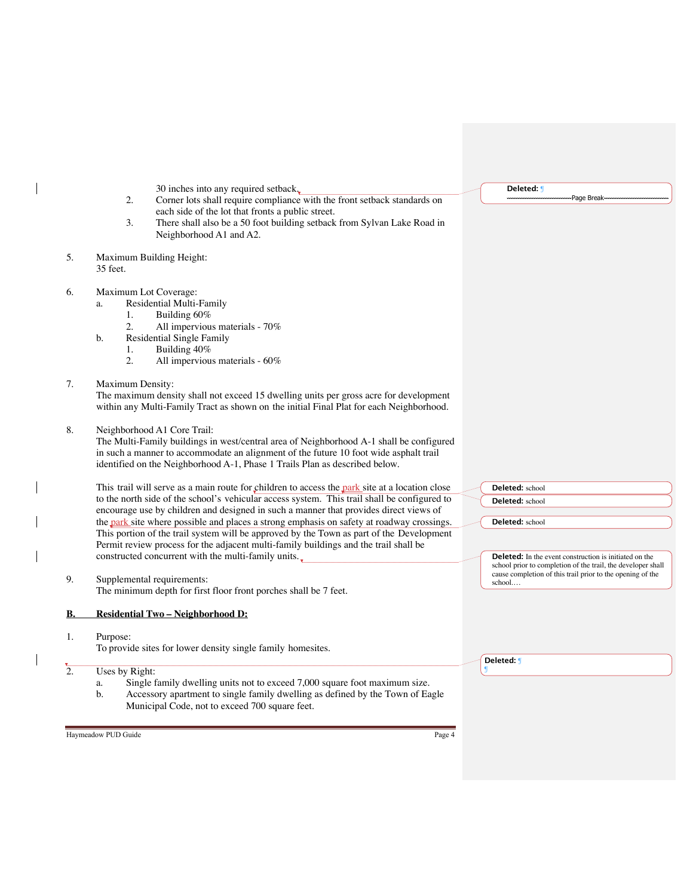|                  | 30 inches into any required setback.                                                           | Deleted: <b>J</b>                                                                                                          |
|------------------|------------------------------------------------------------------------------------------------|----------------------------------------------------------------------------------------------------------------------------|
|                  | Corner lots shall require compliance with the front setback standards on<br>2.                 | Page Break                                                                                                                 |
|                  | each side of the lot that fronts a public street.                                              |                                                                                                                            |
|                  | 3.<br>There shall also be a 50 foot building setback from Sylvan Lake Road in                  |                                                                                                                            |
|                  | Neighborhood A1 and A2.                                                                        |                                                                                                                            |
|                  |                                                                                                |                                                                                                                            |
| 5.               | Maximum Building Height:                                                                       |                                                                                                                            |
|                  | 35 feet.                                                                                       |                                                                                                                            |
| 6.               | Maximum Lot Coverage:                                                                          |                                                                                                                            |
|                  | Residential Multi-Family<br>a.                                                                 |                                                                                                                            |
|                  | Building 60%<br>1.                                                                             |                                                                                                                            |
|                  | 2.<br>All impervious materials - 70%                                                           |                                                                                                                            |
|                  | <b>Residential Single Family</b><br>b.                                                         |                                                                                                                            |
|                  | Building 40%<br>1.                                                                             |                                                                                                                            |
|                  | 2.<br>All impervious materials - 60%                                                           |                                                                                                                            |
|                  |                                                                                                |                                                                                                                            |
| 7.               | Maximum Density:                                                                               |                                                                                                                            |
|                  | The maximum density shall not exceed 15 dwelling units per gross acre for development          |                                                                                                                            |
|                  | within any Multi-Family Tract as shown on the initial Final Plat for each Neighborhood.        |                                                                                                                            |
|                  |                                                                                                |                                                                                                                            |
| 8.               | Neighborhood A1 Core Trail:                                                                    |                                                                                                                            |
|                  | The Multi-Family buildings in west/central area of Neighborhood A-1 shall be configured        |                                                                                                                            |
|                  | in such a manner to accommodate an alignment of the future 10 foot wide asphalt trail          |                                                                                                                            |
|                  | identified on the Neighborhood A-1, Phase 1 Trails Plan as described below.                    |                                                                                                                            |
|                  |                                                                                                |                                                                                                                            |
|                  | This trail will serve as a main route for children to access the park site at a location close | Deleted: school                                                                                                            |
|                  | to the north side of the school's vehicular access system. This trail shall be configured to   | Deleted: school                                                                                                            |
|                  | encourage use by children and designed in such a manner that provides direct views of          |                                                                                                                            |
|                  | the park site where possible and places a strong emphasis on safety at roadway crossings.      | Deleted: school                                                                                                            |
|                  | This portion of the trail system will be approved by the Town as part of the Development       |                                                                                                                            |
|                  | Permit review process for the adjacent multi-family buildings and the trail shall be           |                                                                                                                            |
|                  | constructed concurrent with the multi-family units.                                            | <b>Deleted:</b> In the event construction is initiated on the                                                              |
|                  |                                                                                                | school prior to completion of the trail, the developer shall<br>cause completion of this trail prior to the opening of the |
| 9.               | Supplemental requirements:                                                                     | school                                                                                                                     |
|                  | The minimum depth for first floor front porches shall be 7 feet.                               |                                                                                                                            |
| В.               | Residential Two - Neighborhood D:                                                              |                                                                                                                            |
|                  |                                                                                                |                                                                                                                            |
| 1.               | Purpose:<br>To provide sites for lower density single family homesites.                        |                                                                                                                            |
|                  |                                                                                                | Deleted: ¶                                                                                                                 |
| $\overline{2}$ . | Uses by Right:                                                                                 |                                                                                                                            |
|                  | Single family dwelling units not to exceed 7,000 square foot maximum size.<br>a.               |                                                                                                                            |
|                  | Accessory apartment to single family dwelling as defined by the Town of Eagle<br>b.            |                                                                                                                            |
|                  | Municipal Code, not to exceed 700 square feet.                                                 |                                                                                                                            |
|                  |                                                                                                |                                                                                                                            |
|                  |                                                                                                |                                                                                                                            |
|                  | Haymeadow PUD Guide<br>Page 4                                                                  |                                                                                                                            |

 $\overline{\phantom{a}}$ 

 $\overline{\phantom{a}}$ 

 $\overline{\phantom{a}}$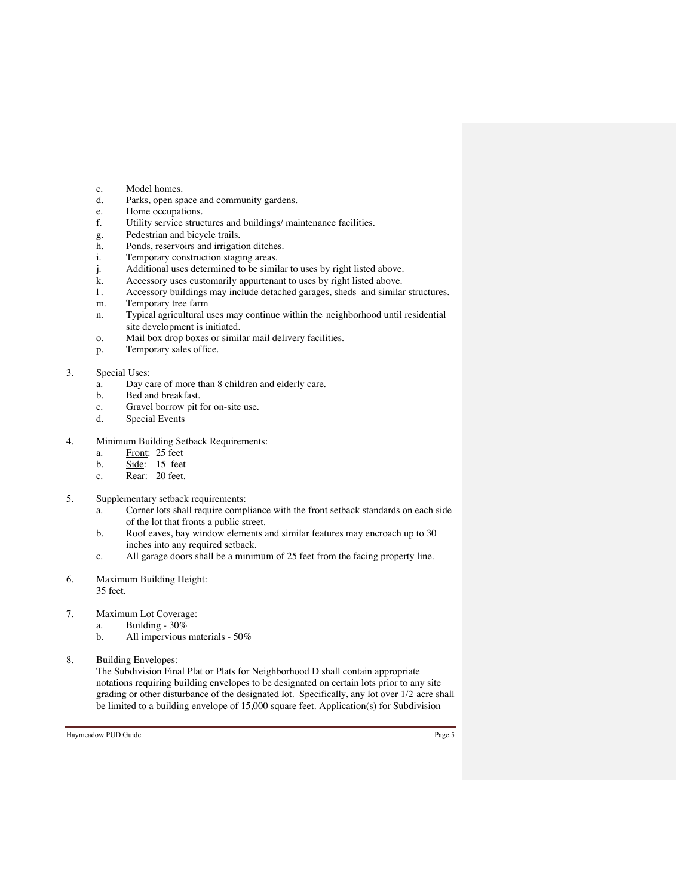- c. Model homes.
- d. Parks, open space and community gardens.
- e. Home occupations.
- f. Utility service structures and buildings/ maintenance facilities.
- g. Pedestrian and bicycle trails.
- h. Ponds, reservoirs and irrigation ditches.
- i. Temporary construction staging areas.
- j. Additional uses determined to be similar to uses by right listed above.
- k. Accessory uses customarily appurtenant to uses by right listed above.
- l . Accessory buildings may include detached garages, sheds and similar structures.
- m. Temporary tree farm
- n. Typical agricultural uses may continue within the neighborhood until residential site development is initiated.
- o. Mail box drop boxes or similar mail delivery facilities.
- p. Temporary sales office.

## 3. Special Uses:

- a. Day care of more than 8 children and elderly care.
- b. Bed and breakfast.
- c. Gravel borrow pit for on-site use.<br>d. Special Events
- Special Events
- 4. Minimum Building Setback Requirements:
	- a. Front: 25 feet
	- b. Side: 15 feet
	- c. Rear: 20 feet.
- 5. Supplementary setback requirements:
	- a. Corner lots shall require compliance with the front setback standards on each side of the lot that fronts a public street.
	- b. Roof eaves, bay window elements and similar features may encroach up to 30 inches into any required setback.
	- c. All garage doors shall be a minimum of 25 feet from the facing property line.
- 6. Maximum Building Height: 35 feet.
- 7. Maximum Lot Coverage:
	- a. Building 30%
		- b. All impervious materials 50%
- 8. Building Envelopes:

The Subdivision Final Plat or Plats for Neighborhood D shall contain appropriate notations requiring building envelopes to be designated on certain lots prior to any site grading or other disturbance of the designated lot. Specifically, any lot over 1/2 acre shall be limited to a building envelope of 15,000 square feet. Application(s) for Subdivision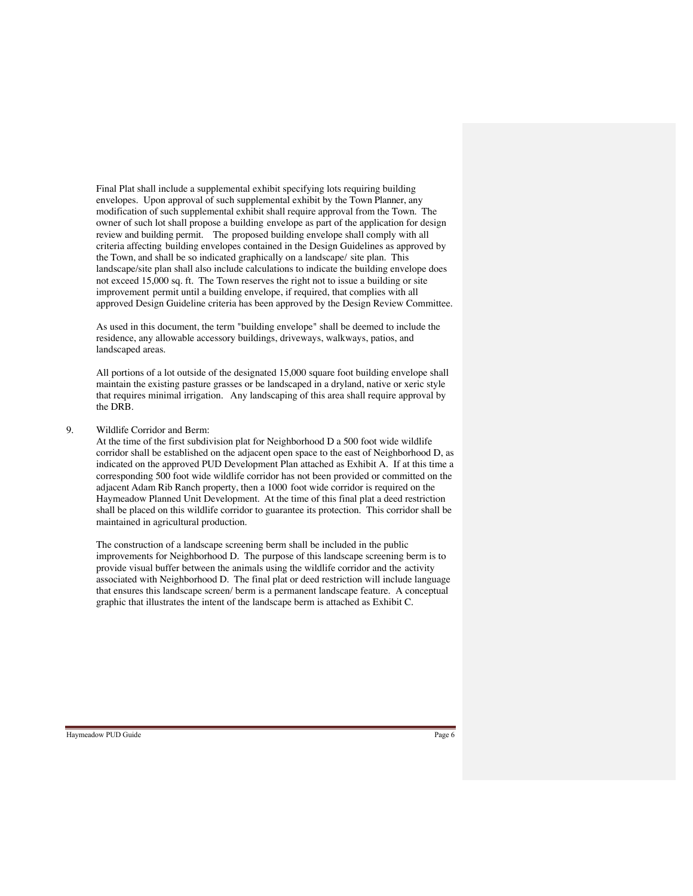Final Plat shall include a supplemental exhibit specifying lots requiring building envelopes. Upon approval of such supplemental exhibit by the Town Planner, any modification of such supplemental exhibit shall require approval from the Town. The owner of such lot shall propose a building envelope as part of the application for design review and building permit. The proposed building envelope shall comply with all criteria affecting building envelopes contained in the Design Guidelines as approved by the Town, and shall be so indicated graphically on a landscape/ site plan. This landscape/site plan shall also include calculations to indicate the building envelope does not exceed 15,000 sq. ft. The Town reserves the right not to issue a building or site improvement permit until a building envelope, if required, that complies with all approved Design Guideline criteria has been approved by the Design Review Committee.

As used in this document, the term "building envelope" shall be deemed to include the residence, any allowable accessory buildings, driveways, walkways, patios, and landscaped areas.

All portions of a lot outside of the designated 15,000 square foot building envelope shall maintain the existing pasture grasses or be landscaped in a dryland, native or xeric style that requires minimal irrigation. Any landscaping of this area shall require approval by the DRB.

## 9. Wildlife Corridor and Berm:

At the time of the first subdivision plat for Neighborhood D a 500 foot wide wildlife corridor shall be established on the adjacent open space to the east of Neighborhood D, as indicated on the approved PUD Development Plan attached as Exhibit A. If at this time a corresponding 500 foot wide wildlife corridor has not been provided or committed on the adjacent Adam Rib Ranch property, then a 1000 foot wide corridor is required on the Haymeadow Planned Unit Development. At the time of this final plat a deed restriction shall be placed on this wildlife corridor to guarantee its protection. This corridor shall be maintained in agricultural production.

The construction of a landscape screening berm shall be included in the public improvements for Neighborhood D. The purpose of this landscape screening berm is to provide visual buffer between the animals using the wildlife corridor and the activity associated with Neighborhood D. The final plat or deed restriction will include language that ensures this landscape screen/ berm is a permanent landscape feature. A conceptual graphic that illustrates the intent of the landscape berm is attached as Exhibit C.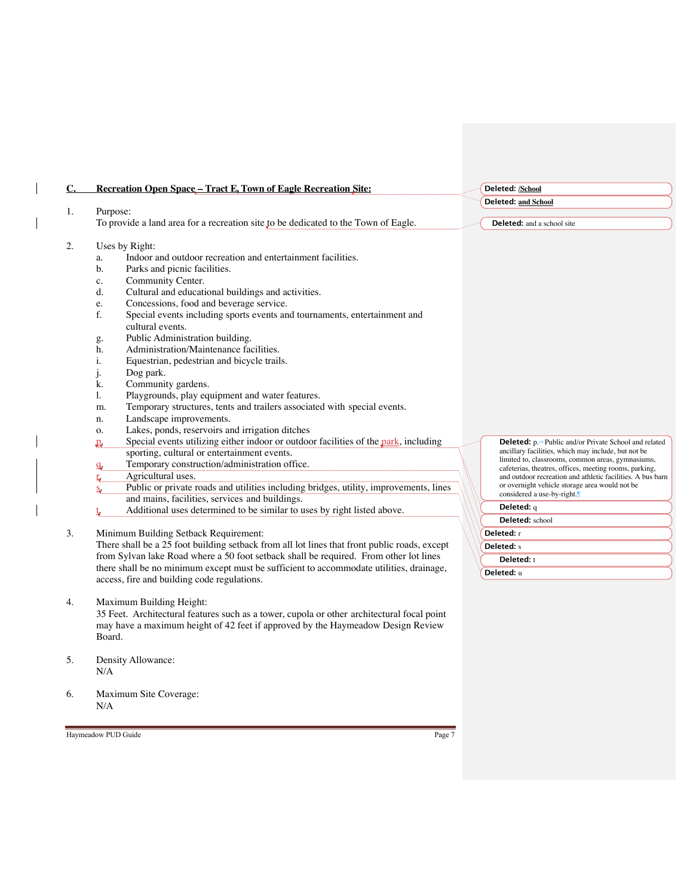| C. | <b>Recreation Open Space - Tract E, Town of Eagle Recreation Site:</b>                                                                                                                                                                                                                                                                                                                                                                       |  | Deleted: /School                                                                                            |  |  |
|----|----------------------------------------------------------------------------------------------------------------------------------------------------------------------------------------------------------------------------------------------------------------------------------------------------------------------------------------------------------------------------------------------------------------------------------------------|--|-------------------------------------------------------------------------------------------------------------|--|--|
|    |                                                                                                                                                                                                                                                                                                                                                                                                                                              |  | <b>Deleted: and School</b>                                                                                  |  |  |
| 1. | Purpose:                                                                                                                                                                                                                                                                                                                                                                                                                                     |  |                                                                                                             |  |  |
|    | To provide a land area for a recreation site to be dedicated to the Town of Eagle.                                                                                                                                                                                                                                                                                                                                                           |  | Deleted: and a school site                                                                                  |  |  |
| 2. | Uses by Right:                                                                                                                                                                                                                                                                                                                                                                                                                               |  |                                                                                                             |  |  |
|    | Indoor and outdoor recreation and entertainment facilities.<br>a.                                                                                                                                                                                                                                                                                                                                                                            |  |                                                                                                             |  |  |
|    | b.<br>Parks and picnic facilities.                                                                                                                                                                                                                                                                                                                                                                                                           |  |                                                                                                             |  |  |
|    | Community Center.<br>c.                                                                                                                                                                                                                                                                                                                                                                                                                      |  |                                                                                                             |  |  |
|    | Cultural and educational buildings and activities.<br>d.                                                                                                                                                                                                                                                                                                                                                                                     |  |                                                                                                             |  |  |
|    | Concessions, food and beverage service.<br>e.                                                                                                                                                                                                                                                                                                                                                                                                |  |                                                                                                             |  |  |
|    | f.<br>Special events including sports events and tournaments, entertainment and                                                                                                                                                                                                                                                                                                                                                              |  |                                                                                                             |  |  |
|    | cultural events.                                                                                                                                                                                                                                                                                                                                                                                                                             |  |                                                                                                             |  |  |
|    | Public Administration building.<br>g.                                                                                                                                                                                                                                                                                                                                                                                                        |  |                                                                                                             |  |  |
|    | Administration/Maintenance facilities.<br>h.                                                                                                                                                                                                                                                                                                                                                                                                 |  |                                                                                                             |  |  |
|    | Equestrian, pedestrian and bicycle trails.<br>i.                                                                                                                                                                                                                                                                                                                                                                                             |  |                                                                                                             |  |  |
|    | Dog park.<br>j.                                                                                                                                                                                                                                                                                                                                                                                                                              |  |                                                                                                             |  |  |
|    | Community gardens.<br>k.                                                                                                                                                                                                                                                                                                                                                                                                                     |  |                                                                                                             |  |  |
|    | Playgrounds, play equipment and water features.<br>1.                                                                                                                                                                                                                                                                                                                                                                                        |  |                                                                                                             |  |  |
|    | Temporary structures, tents and trailers associated with special events.<br>m.                                                                                                                                                                                                                                                                                                                                                               |  |                                                                                                             |  |  |
|    | Landscape improvements.<br>n.                                                                                                                                                                                                                                                                                                                                                                                                                |  |                                                                                                             |  |  |
|    | Lakes, ponds, reservoirs and irrigation ditches<br>о.                                                                                                                                                                                                                                                                                                                                                                                        |  |                                                                                                             |  |  |
|    | Special events utilizing either indoor or outdoor facilities of the park, including<br>$\mathbf{P}_{\mathbf{r}}$                                                                                                                                                                                                                                                                                                                             |  | <b>Deleted:</b> p.→ Public and/or Private School and related                                                |  |  |
|    | sporting, cultural or entertainment events.                                                                                                                                                                                                                                                                                                                                                                                                  |  | ancillary facilities, which may include, but not be                                                         |  |  |
|    | Temporary construction/administration office.<br>$\mathbf{q}$                                                                                                                                                                                                                                                                                                                                                                                |  | limited to, classrooms, common areas, gymnasiums,<br>cafeterias, theatres, offices, meeting rooms, parking, |  |  |
| 3. | Agricultural uses.<br>ς.                                                                                                                                                                                                                                                                                                                                                                                                                     |  | and outdoor recreation and athletic facilities. A bus barn                                                  |  |  |
|    | Public or private roads and utilities including bridges, utility, improvements, lines<br>Ś,                                                                                                                                                                                                                                                                                                                                                  |  | or overnight vehicle storage area would not be                                                              |  |  |
|    | and mains, facilities, services and buildings.                                                                                                                                                                                                                                                                                                                                                                                               |  | considered a use-by-right.                                                                                  |  |  |
|    | Additional uses determined to be similar to uses by right listed above.                                                                                                                                                                                                                                                                                                                                                                      |  | Deleted: q                                                                                                  |  |  |
|    |                                                                                                                                                                                                                                                                                                                                                                                                                                              |  | Deleted: school                                                                                             |  |  |
|    | Minimum Building Setback Requirement:<br>There shall be a 25 foot building setback from all lot lines that front public roads, except<br>from Sylvan lake Road where a 50 foot setback shall be required. From other lot lines<br>there shall be no minimum except must be sufficient to accommodate utilities, drainage,<br>the contract of the contract of the contract of the contract of the contract of the contract of the contract of |  | Deleted: r                                                                                                  |  |  |
|    |                                                                                                                                                                                                                                                                                                                                                                                                                                              |  | <b>Deleted:</b> s                                                                                           |  |  |
|    |                                                                                                                                                                                                                                                                                                                                                                                                                                              |  | Deleted: t                                                                                                  |  |  |
|    |                                                                                                                                                                                                                                                                                                                                                                                                                                              |  | Deleted: u                                                                                                  |  |  |

there shall be no minimum except must be sufficient to accommodate utilities, drainage, access, fire and building code regulations.

4. Maximum Building Height:

35 Feet. Architectural features such as a tower, cupola or other architectural focal point may have a maximum height of 42 feet if approved by the Haymeadow Design Review Board.

- 5. Density Allowance: N/A
- 6. Maximum Site Coverage:  $\rm N/A$

Haymeadow PUD Guide Page 7

 $\overline{\phantom{a}}$ 

 $\overline{\phantom{a}}$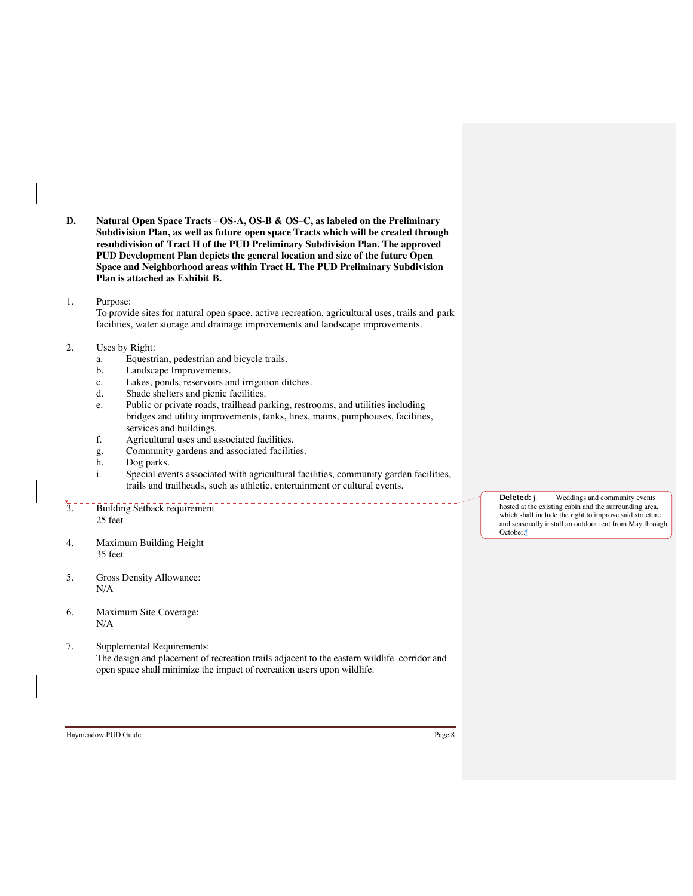- **D. Natural Open Space Tracts OS-A, OS-B & OS–C, as labeled on the Preliminary Subdivision Plan, as well as future open space Tracts which will be created through resubdivision of Tract H of the PUD Preliminary Subdivision Plan. The approved PUD Development Plan depicts the general location and size of the future Open Space and Neighborhood areas within Tract H. The PUD Preliminary Subdivision Plan is attached as Exhibit B.**
- 1. Purpose:

To provide sites for natural open space, active recreation, agricultural uses, trails and park facilities, water storage and drainage improvements and landscape improvements.

## 2. Uses by Right:

- a. Equestrian, pedestrian and bicycle trails.
- b. Landscape Improvements.
- c. Lakes, ponds, reservoirs and irrigation ditches.
- d. Shade shelters and picnic facilities.
- e. Public or private roads, trailhead parking, restrooms, and utilities including bridges and utility improvements, tanks, lines, mains, pumphouses, facilities, services and buildings.
- f. Agricultural uses and associated facilities.
- g. Community gardens and associated facilities.
- h. Dog parks.
- i. Special events associated with agricultural facilities, community garden facilities, trails and trailheads, such as athletic, entertainment or cultural events.
- 3. Building Setback requirement 25 feet
- 4. Maximum Building Height 35 feet
- 5. Gross Density Allowance: N/A
- 6. Maximum Site Coverage: N/A
- 7. Supplemental Requirements: The design and placement of recreation trails adjacent to the eastern wildlife corridor and open space shall minimize the impact of recreation users upon wildlife.

October.¶

**Deleted:** j. Weddings and community events hosted at the existing cabin and the surrounding area, which shall include the right to improve said structure and seasonally install an outdoor tent from May through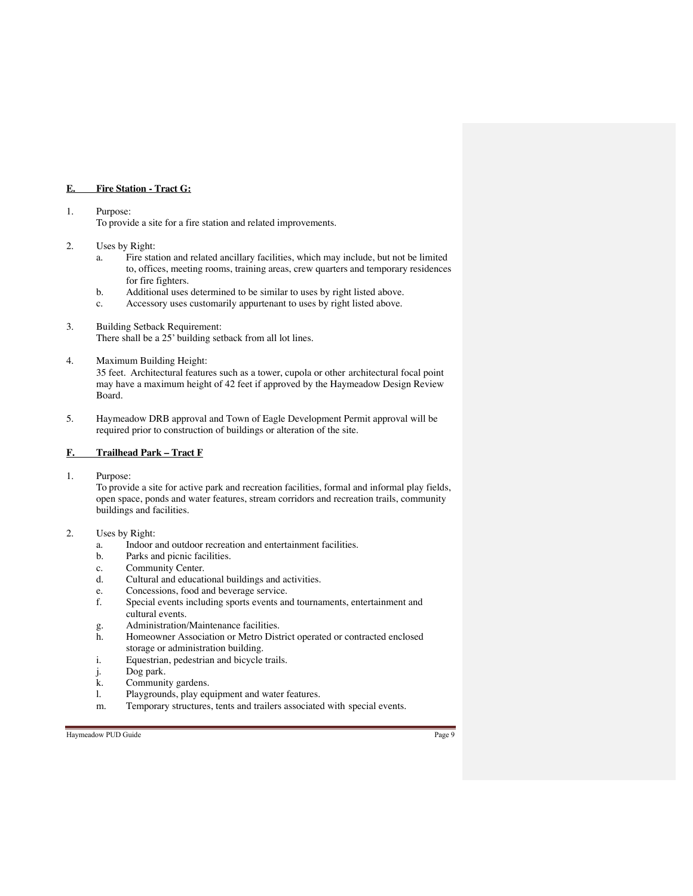## **E. Fire Station - Tract G:**

#### 1. Purpose:

To provide a site for a fire station and related improvements.

#### 2. Uses by Right:

- a. Fire station and related ancillary facilities, which may include, but not be limited to, offices, meeting rooms, training areas, crew quarters and temporary residences for fire fighters.
- b. Additional uses determined to be similar to uses by right listed above.
- c. Accessory uses customarily appurtenant to uses by right listed above.

## 3. Building Setback Requirement: There shall be a 25' building setback from all lot lines.

## 4. Maximum Building Height:

35 feet. Architectural features such as a tower, cupola or other architectural focal point may have a maximum height of 42 feet if approved by the Haymeadow Design Review Board.

5. Haymeadow DRB approval and Town of Eagle Development Permit approval will be required prior to construction of buildings or alteration of the site.

## **F. Trailhead Park – Tract F**

1. Purpose:

To provide a site for active park and recreation facilities, formal and informal play fields, open space, ponds and water features, stream corridors and recreation trails, community buildings and facilities.

## 2. Uses by Right:

- a. Indoor and outdoor recreation and entertainment facilities.
- Parks and picnic facilities.
- c. Community Center.
- d. Cultural and educational buildings and activities.
- e. Concessions, food and beverage service.
- f. Special events including sports events and tournaments, entertainment and cultural events.
- g. Administration/Maintenance facilities.<br>h. Homeowner Association or Metro Dist
- Homeowner Association or Metro District operated or contracted enclosed storage or administration building.
- i. Equestrian, pedestrian and bicycle trails.
- j. Dog park.
- k. Community gardens.
- l. Playgrounds, play equipment and water features.
- m. Temporary structures, tents and trailers associated with special events.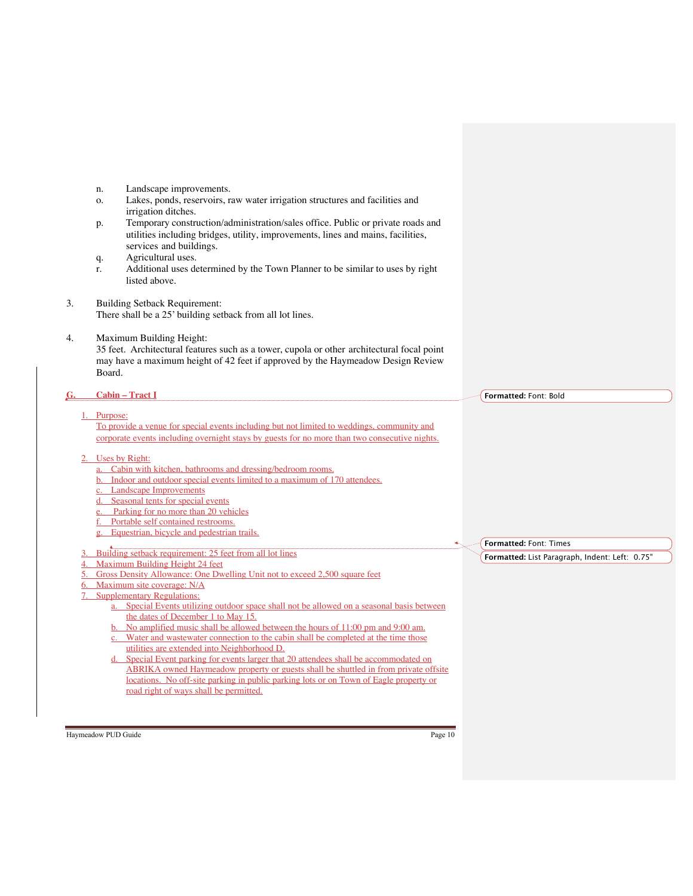|             | n.       | Landscape improvements.                                                                                                                                                                     |                                                |
|-------------|----------|---------------------------------------------------------------------------------------------------------------------------------------------------------------------------------------------|------------------------------------------------|
|             | 0.       | Lakes, ponds, reservoirs, raw water irrigation structures and facilities and                                                                                                                |                                                |
|             |          | irrigation ditches.                                                                                                                                                                         |                                                |
|             | p.       | Temporary construction/administration/sales office. Public or private roads and                                                                                                             |                                                |
|             |          | utilities including bridges, utility, improvements, lines and mains, facilities,<br>services and buildings.                                                                                 |                                                |
|             | q.       | Agricultural uses.                                                                                                                                                                          |                                                |
|             | r.       | Additional uses determined by the Town Planner to be similar to uses by right                                                                                                               |                                                |
|             |          | listed above.                                                                                                                                                                               |                                                |
|             |          |                                                                                                                                                                                             |                                                |
| 3.          |          | <b>Building Setback Requirement:</b><br>There shall be a 25' building setback from all lot lines.                                                                                           |                                                |
|             |          |                                                                                                                                                                                             |                                                |
| 4.          |          | Maximum Building Height:                                                                                                                                                                    |                                                |
|             |          | 35 feet. Architectural features such as a tower, cupola or other architectural focal point                                                                                                  |                                                |
|             |          | may have a maximum height of 42 feet if approved by the Haymeadow Design Review                                                                                                             |                                                |
|             | Board.   |                                                                                                                                                                                             |                                                |
| <u>G.</u>   |          | <b>Cabin - Tract I</b>                                                                                                                                                                      | Formatted: Font: Bold                          |
|             |          |                                                                                                                                                                                             |                                                |
| $1_{\odot}$ | Purpose: |                                                                                                                                                                                             |                                                |
|             |          | To provide a venue for special events including but not limited to weddings, community and<br>corporate events including overnight stays by guests for no more than two consecutive nights. |                                                |
|             |          |                                                                                                                                                                                             |                                                |
| 2.          |          | Uses by Right:                                                                                                                                                                              |                                                |
|             |          | a. Cabin with kitchen, bathrooms and dressing/bedroom rooms.<br>b. Indoor and outdoor special events limited to a maximum of 170 attendees.                                                 |                                                |
|             |          | c. Landscape Improvements                                                                                                                                                                   |                                                |
|             |          | d. Seasonal tents for special events                                                                                                                                                        |                                                |
|             |          | e. Parking for no more than 20 vehicles                                                                                                                                                     |                                                |
|             |          | f. Portable self contained restrooms.<br>g. Equestrian, bicycle and pedestrian trails.                                                                                                      |                                                |
|             |          |                                                                                                                                                                                             | Formatted: Font: Times                         |
|             |          | Building setback requirement: 25 feet from all lot lines                                                                                                                                    | Formatted: List Paragraph, Indent: Left: 0.75" |
|             |          | Maximum Building Height 24 feet                                                                                                                                                             |                                                |
|             |          | 5. Gross Density Allowance: One Dwelling Unit not to exceed 2,500 square feet<br>6. Maximum site coverage: N/A                                                                              |                                                |
|             |          | 7. Supplementary Regulations:                                                                                                                                                               |                                                |
|             |          | a. Special Events utilizing outdoor space shall not be allowed on a seasonal basis between                                                                                                  |                                                |
|             |          | the dates of December 1 to May 15.                                                                                                                                                          |                                                |
|             |          | b. No amplified music shall be allowed between the hours of 11:00 pm and 9:00 am.<br>c. Water and wastewater connection to the cabin shall be completed at the time those                   |                                                |
|             |          | utilities are extended into Neighborhood D.                                                                                                                                                 |                                                |
|             |          | d. Special Event parking for events larger that 20 attendees shall be accommodated on                                                                                                       |                                                |
|             |          | ABRIKA owned Haymeadow property or guests shall be shuttled in from private offsite                                                                                                         |                                                |
|             |          | locations. No off-site parking in public parking lots or on Town of Eagle property or<br>road right of ways shall be permitted.                                                             |                                                |
|             |          |                                                                                                                                                                                             |                                                |
|             |          |                                                                                                                                                                                             |                                                |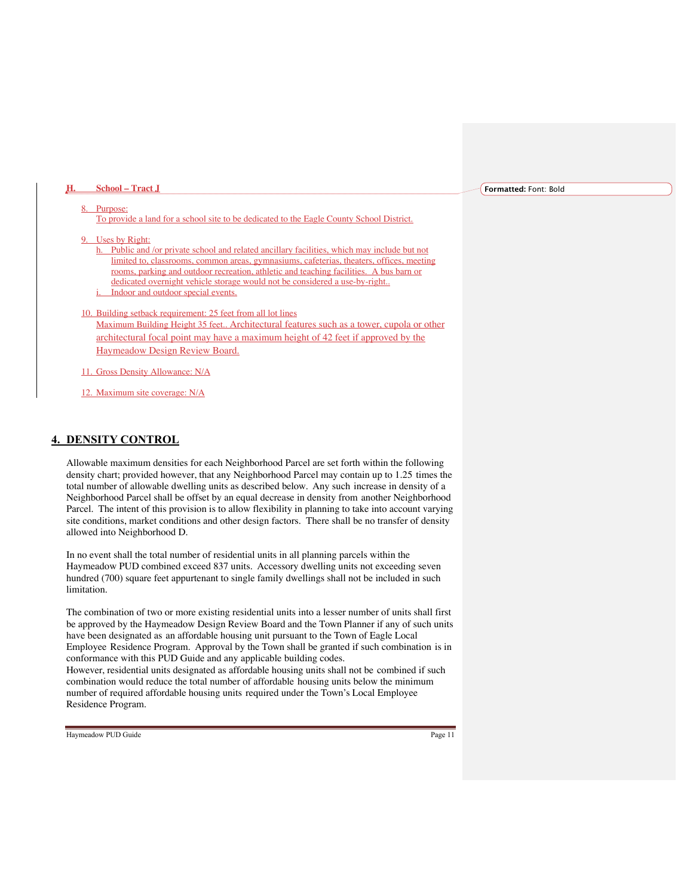#### **Formatted:** Font: Bold

#### Purpose:

**H. School – Tract J**

To provide a land for a school site to be dedicated to the Eagle County School District.

Uses by Right:

h. Public and /or private school and related ancillary facilities, which may include but not limited to, classrooms, common areas, gymnasiums, cafeterias, theaters, offices, meeting rooms, parking and outdoor recreation, athletic and teaching facilities. A bus barn or dedicated overnight vehicle storage would not be considered a use-by-right.. Indoor and outdoor special events.

## 10. Building setback requirement: 25 feet from all lot lines

Maximum Building Height 35 feet.. Architectural features such as a tower, cupola or other architectural focal point may have a maximum height of 42 feet if approved by the Haymeadow Design Review Board.

11. Gross Density Allowance: N/A

12. Maximum site coverage: N/A

## **4. DENSITY CONTROL**

Allowable maximum densities for each Neighborhood Parcel are set forth within the following density chart; provided however, that any Neighborhood Parcel may contain up to 1.25 times the total number of allowable dwelling units as described below. Any such increase in density of a Neighborhood Parcel shall be offset by an equal decrease in density from another Neighborhood Parcel. The intent of this provision is to allow flexibility in planning to take into account varying site conditions, market conditions and other design factors. There shall be no transfer of density allowed into Neighborhood D.

In no event shall the total number of residential units in all planning parcels within the Haymeadow PUD combined exceed 837 units. Accessory dwelling units not exceeding seven hundred (700) square feet appurtenant to single family dwellings shall not be included in such limitation.

The combination of two or more existing residential units into a lesser number of units shall first be approved by the Haymeadow Design Review Board and the Town Planner if any of such units have been designated as an affordable housing unit pursuant to the Town of Eagle Local Employee Residence Program. Approval by the Town shall be granted if such combination is in conformance with this PUD Guide and any applicable building codes. However, residential units designated as affordable housing units shall not be combined if such

combination would reduce the total number of affordable housing units below the minimum number of required affordable housing units required under the Town's Local Employee Residence Program.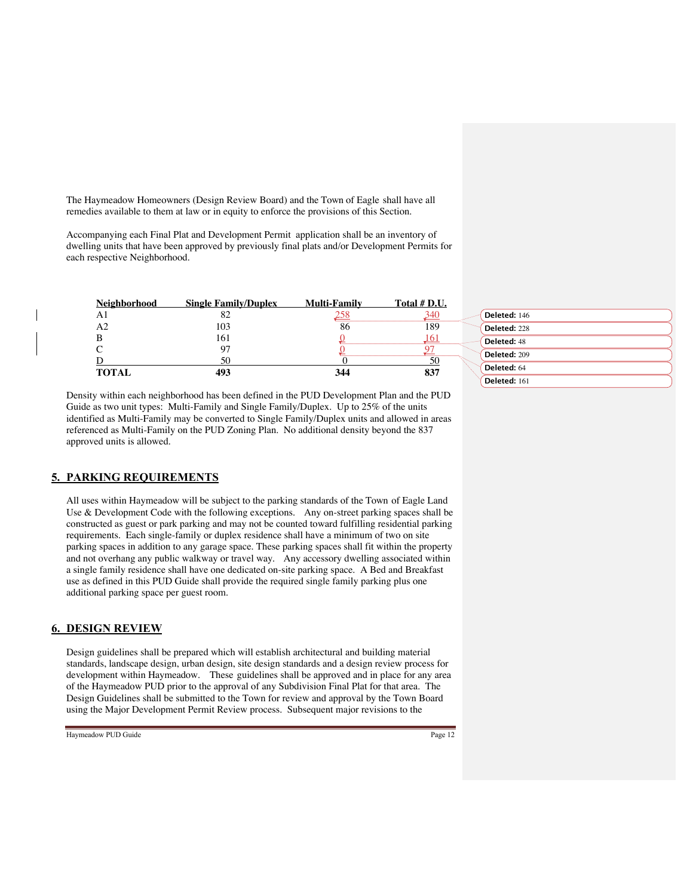The Haymeadow Homeowners (Design Review Board) and the Town of Eagle shall have all remedies available to them at law or in equity to enforce the provisions of this Section.

Accompanying each Final Plat and Development Permit application shall be an inventory of dwelling units that have been approved by previously final plats and/or Development Permits for each respective Neighborhood.

| Neighborhood | <b>Single Family/Duplex</b> | <b>Multi-Family</b> | Total # D.U. |                    |
|--------------|-----------------------------|---------------------|--------------|--------------------|
| Αl           | oΖ                          |                     | 340          | Deleted: 146       |
| A2           | 103                         | 86                  | 189          | Deleted: 228       |
|              | 161                         |                     | 161          | <b>Deleted: 48</b> |
|              |                             |                     |              | Deleted: 209       |
|              |                             |                     | 50           | Deleted: 64        |
| <b>TOTAL</b> | 493                         | 344                 | 837          | Deleted: 161       |

Density within each neighborhood has been defined in the PUD Development Plan and the PUD Guide as two unit types: Multi-Family and Single Family/Duplex. Up to 25% of the units identified as Multi-Family may be converted to Single Family/Duplex units and allowed in areas referenced as Multi-Family on the PUD Zoning Plan. No additional density beyond the 837 approved units is allowed.

## **5. PARKING REQUIREMENTS**

All uses within Haymeadow will be subject to the parking standards of the Town of Eagle Land Use & Development Code with the following exceptions. Any on-street parking spaces shall be constructed as guest or park parking and may not be counted toward fulfilling residential parking requirements. Each single-family or duplex residence shall have a minimum of two on site parking spaces in addition to any garage space. These parking spaces shall fit within the property and not overhang any public walkway or travel way. Any accessory dwelling associated within a single family residence shall have one dedicated on-site parking space. A Bed and Breakfast use as defined in this PUD Guide shall provide the required single family parking plus one additional parking space per guest room.

## **6. DESIGN REVIEW**

Design guidelines shall be prepared which will establish architectural and building material standards, landscape design, urban design, site design standards and a design review process for development within Haymeadow. These guidelines shall be approved and in place for any area of the Haymeadow PUD prior to the approval of any Subdivision Final Plat for that area. The Design Guidelines shall be submitted to the Town for review and approval by the Town Board using the Major Development Permit Review process. Subsequent major revisions to the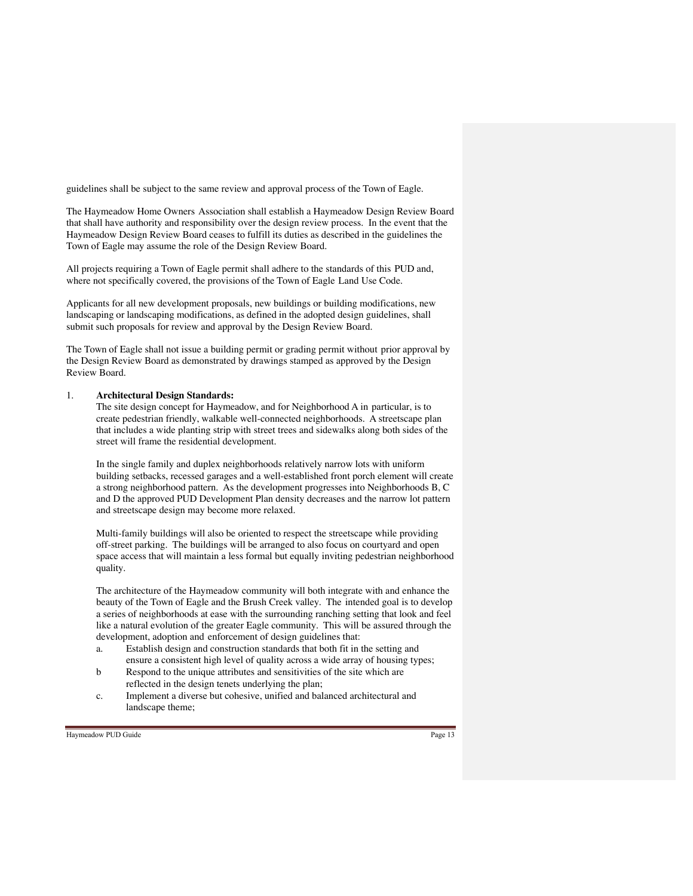guidelines shall be subject to the same review and approval process of the Town of Eagle.

The Haymeadow Home Owners Association shall establish a Haymeadow Design Review Board that shall have authority and responsibility over the design review process. In the event that the Haymeadow Design Review Board ceases to fulfill its duties as described in the guidelines the Town of Eagle may assume the role of the Design Review Board.

All projects requiring a Town of Eagle permit shall adhere to the standards of this PUD and, where not specifically covered, the provisions of the Town of Eagle Land Use Code.

Applicants for all new development proposals, new buildings or building modifications, new landscaping or landscaping modifications, as defined in the adopted design guidelines, shall submit such proposals for review and approval by the Design Review Board.

The Town of Eagle shall not issue a building permit or grading permit without prior approval by the Design Review Board as demonstrated by drawings stamped as approved by the Design Review Board.

#### 1. **Architectural Design Standards:**

The site design concept for Haymeadow, and for Neighborhood A in particular, is to create pedestrian friendly, walkable well-connected neighborhoods. A streetscape plan that includes a wide planting strip with street trees and sidewalks along both sides of the street will frame the residential development.

In the single family and duplex neighborhoods relatively narrow lots with uniform building setbacks, recessed garages and a well-established front porch element will create a strong neighborhood pattern. As the development progresses into Neighborhoods B, C and D the approved PUD Development Plan density decreases and the narrow lot pattern and streetscape design may become more relaxed.

Multi-family buildings will also be oriented to respect the streetscape while providing off-street parking. The buildings will be arranged to also focus on courtyard and open space access that will maintain a less formal but equally inviting pedestrian neighborhood quality.

The architecture of the Haymeadow community will both integrate with and enhance the beauty of the Town of Eagle and the Brush Creek valley. The intended goal is to develop a series of neighborhoods at ease with the surrounding ranching setting that look and feel like a natural evolution of the greater Eagle community. This will be assured through the development, adoption and enforcement of design guidelines that:

- a. Establish design and construction standards that both fit in the setting and ensure a consistent high level of quality across a wide array of housing types;
- b Respond to the unique attributes and sensitivities of the site which are reflected in the design tenets underlying the plan;
- c. Implement a diverse but cohesive, unified and balanced architectural and landscape theme;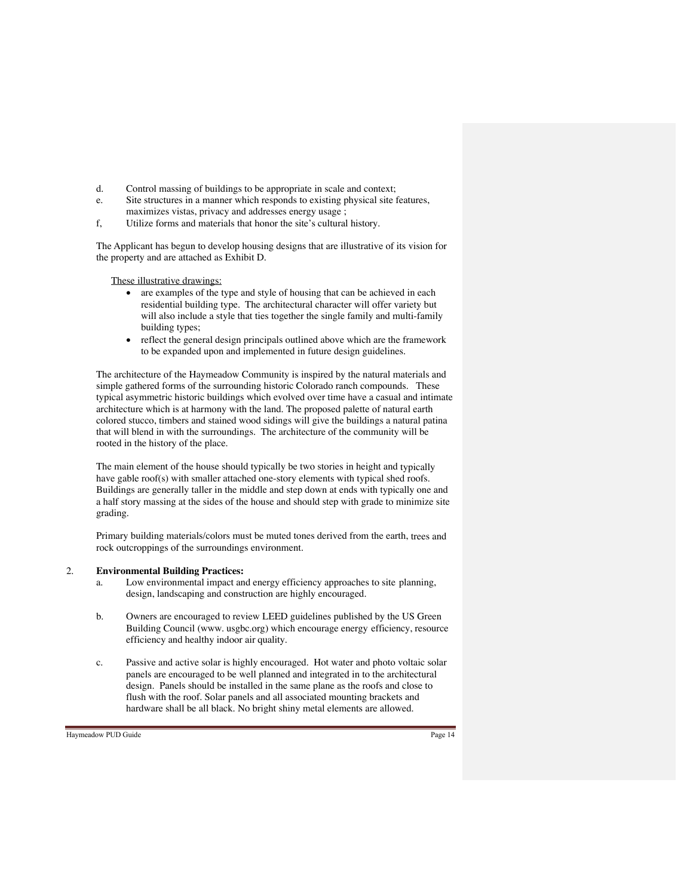- d. Control massing of buildings to be appropriate in scale and context;
- e. Site structures in a manner which responds to existing physical site features, maximizes vistas, privacy and addresses energy usage ;
- f, Utilize forms and materials that honor the site's cultural history.

The Applicant has begun to develop housing designs that are illustrative of its vision for the property and are attached as Exhibit D.

These illustrative drawings:

- are examples of the type and style of housing that can be achieved in each residential building type. The architectural character will offer variety but will also include a style that ties together the single family and multi-family building types;
- reflect the general design principals outlined above which are the framework to be expanded upon and implemented in future design guidelines.

The architecture of the Haymeadow Community is inspired by the natural materials and simple gathered forms of the surrounding historic Colorado ranch compounds. These typical asymmetric historic buildings which evolved over time have a casual and intimate architecture which is at harmony with the land. The proposed palette of natural earth colored stucco, timbers and stained wood sidings will give the buildings a natural patina that will blend in with the surroundings. The architecture of the community will be rooted in the history of the place.

The main element of the house should typically be two stories in height and typically have gable roof(s) with smaller attached one-story elements with typical shed roofs. Buildings are generally taller in the middle and step down at ends with typically one and a half story massing at the sides of the house and should step with grade to minimize site grading.

Primary building materials/colors must be muted tones derived from the earth, trees and rock outcroppings of the surroundings environment.

#### 2. **Environmental Building Practices:**

- a. Low environmental impact and energy efficiency approaches to site planning, design, landscaping and construction are highly encouraged.
- b. Owners are encouraged to review LEED guidelines published by the US Green Building Council (www. usgbc.org) which encourage energy efficiency, resource efficiency and healthy indoor air quality.
- c. Passive and active solar is highly encouraged. Hot water and photo voltaic solar panels are encouraged to be well planned and integrated in to the architectural design. Panels should be installed in the same plane as the roofs and close to flush with the roof. Solar panels and all associated mounting brackets and hardware shall be all black. No bright shiny metal elements are allowed.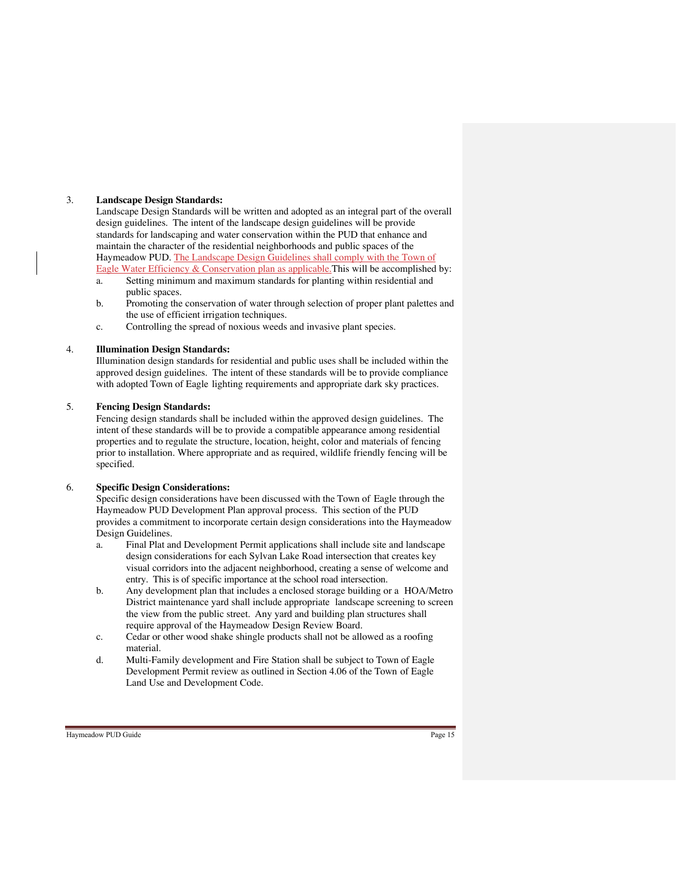## 3. **Landscape Design Standards:**

Landscape Design Standards will be written and adopted as an integral part of the overall design guidelines. The intent of the landscape design guidelines will be provide standards for landscaping and water conservation within the PUD that enhance and maintain the character of the residential neighborhoods and public spaces of the Haymeadow PUD. The Landscape Design Guidelines shall comply with the Town of Eagle Water Efficiency & Conservation plan as applicable.This will be accomplished by:

- a. Setting minimum and maximum standards for planting within residential and public spaces.
- b. Promoting the conservation of water through selection of proper plant palettes and the use of efficient irrigation techniques.
- c. Controlling the spread of noxious weeds and invasive plant species.

## 4. **Illumination Design Standards:**

Illumination design standards for residential and public uses shall be included within the approved design guidelines. The intent of these standards will be to provide compliance with adopted Town of Eagle lighting requirements and appropriate dark sky practices.

#### 5. **Fencing Design Standards:**

Fencing design standards shall be included within the approved design guidelines. The intent of these standards will be to provide a compatible appearance among residential properties and to regulate the structure, location, height, color and materials of fencing prior to installation. Where appropriate and as required, wildlife friendly fencing will be specified.

## 6. **Specific Design Considerations:**

Specific design considerations have been discussed with the Town of Eagle through the Haymeadow PUD Development Plan approval process. This section of the PUD provides a commitment to incorporate certain design considerations into the Haymeadow Design Guidelines.

- a. Final Plat and Development Permit applications shall include site and landscape design considerations for each Sylvan Lake Road intersection that creates key visual corridors into the adjacent neighborhood, creating a sense of welcome and entry. This is of specific importance at the school road intersection.
- b. Any development plan that includes a enclosed storage building or a HOA/Metro District maintenance yard shall include appropriate landscape screening to screen the view from the public street. Any yard and building plan structures shall require approval of the Haymeadow Design Review Board.
- c. Cedar or other wood shake shingle products shall not be allowed as a roofing material.
- d. Multi-Family development and Fire Station shall be subject to Town of Eagle Development Permit review as outlined in Section 4.06 of the Town of Eagle Land Use and Development Code.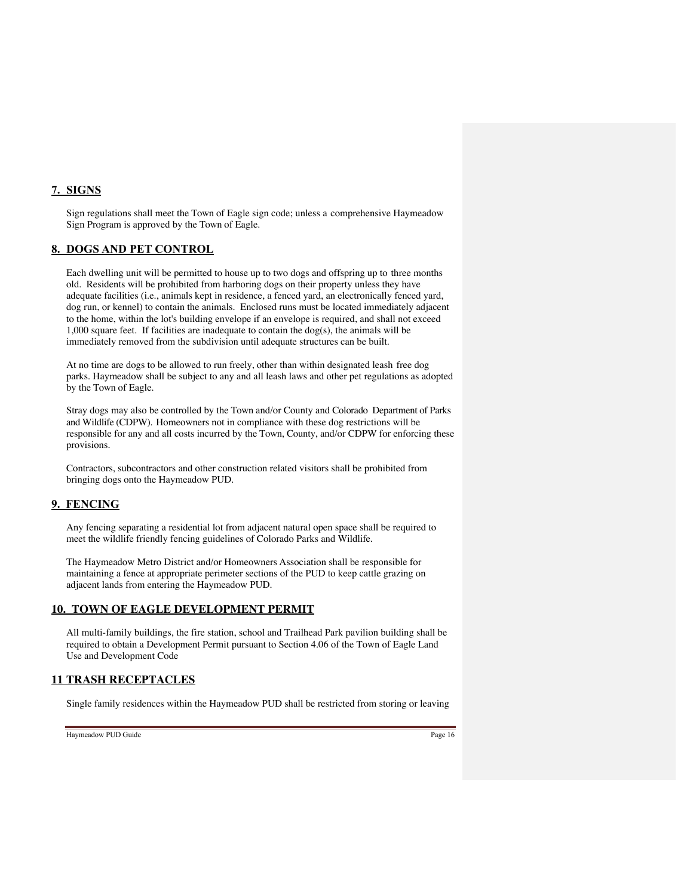# **7. SIGNS**

Sign regulations shall meet the Town of Eagle sign code; unless a comprehensive Haymeadow Sign Program is approved by the Town of Eagle.

# **8. DOGS AND PET CONTROL**

Each dwelling unit will be permitted to house up to two dogs and offspring up to three months old. Residents will be prohibited from harboring dogs on their property unless they have adequate facilities (i.e., animals kept in residence, a fenced yard, an electronically fenced yard, dog run, or kennel) to contain the animals. Enclosed runs must be located immediately adjacent to the home, within the lot's building envelope if an envelope is required, and shall not exceed 1,000 square feet. If facilities are inadequate to contain the dog(s), the animals will be immediately removed from the subdivision until adequate structures can be built.

At no time are dogs to be allowed to run freely, other than within designated leash free dog parks. Haymeadow shall be subject to any and all leash laws and other pet regulations as adopted by the Town of Eagle.

Stray dogs may also be controlled by the Town and/or County and Colorado Department of Parks and Wildlife (CDPW). Homeowners not in compliance with these dog restrictions will be responsible for any and all costs incurred by the Town, County, and/or CDPW for enforcing these provisions.

Contractors, subcontractors and other construction related visitors shall be prohibited from bringing dogs onto the Haymeadow PUD.

# **9. FENCING**

Any fencing separating a residential lot from adjacent natural open space shall be required to meet the wildlife friendly fencing guidelines of Colorado Parks and Wildlife.

The Haymeadow Metro District and/or Homeowners Association shall be responsible for maintaining a fence at appropriate perimeter sections of the PUD to keep cattle grazing on adjacent lands from entering the Haymeadow PUD.

## **10. TOWN OF EAGLE DEVELOPMENT PERMIT**

All multi-family buildings, the fire station, school and Trailhead Park pavilion building shall be required to obtain a Development Permit pursuant to Section 4.06 of the Town of Eagle Land Use and Development Code

## **11 TRASH RECEPTACLES**

Single family residences within the Haymeadow PUD shall be restricted from storing or leaving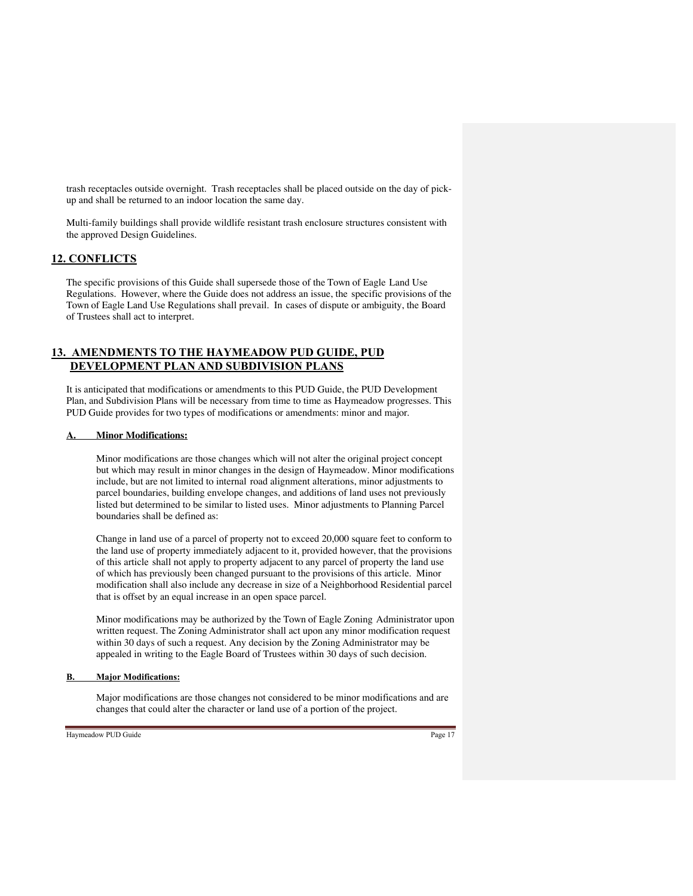trash receptacles outside overnight. Trash receptacles shall be placed outside on the day of pickup and shall be returned to an indoor location the same day.

Multi-family buildings shall provide wildlife resistant trash enclosure structures consistent with the approved Design Guidelines.

## **12. CONFLICTS**

The specific provisions of this Guide shall supersede those of the Town of Eagle Land Use Regulations. However, where the Guide does not address an issue, the specific provisions of the Town of Eagle Land Use Regulations shall prevail. In cases of dispute or ambiguity, the Board of Trustees shall act to interpret.

## **13. AMENDMENTS TO THE HAYMEADOW PUD GUIDE, PUD DEVELOPMENT PLAN AND SUBDIVISION PLANS**

It is anticipated that modifications or amendments to this PUD Guide, the PUD Development Plan, and Subdivision Plans will be necessary from time to time as Haymeadow progresses. This PUD Guide provides for two types of modifications or amendments: minor and major.

#### **Minor Modifications:**

Minor modifications are those changes which will not alter the original project concept but which may result in minor changes in the design of Haymeadow. Minor modifications include, but are not limited to internal road alignment alterations, minor adjustments to parcel boundaries, building envelope changes, and additions of land uses not previously listed but determined to be similar to listed uses. Minor adjustments to Planning Parcel boundaries shall be defined as:

Change in land use of a parcel of property not to exceed 20,000 square feet to conform to the land use of property immediately adjacent to it, provided however, that the provisions of this article shall not apply to property adjacent to any parcel of property the land use of which has previously been changed pursuant to the provisions of this article. Minor modification shall also include any decrease in size of a Neighborhood Residential parcel that is offset by an equal increase in an open space parcel.

Minor modifications may be authorized by the Town of Eagle Zoning Administrator upon written request. The Zoning Administrator shall act upon any minor modification request within 30 days of such a request. Any decision by the Zoning Administrator may be appealed in writing to the Eagle Board of Trustees within 30 days of such decision.

## **B. Major Modifications:**

Major modifications are those changes not considered to be minor modifications and are changes that could alter the character or land use of a portion of the project.